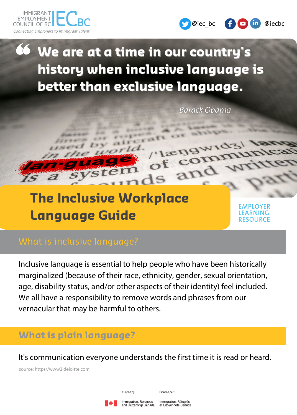



# **We are at a time in our country's history when inclusive language is better than exclusive language.**

 $a$ f

 $\mathsf{1s}$ 

Barack Obama

"længwidz"

and

of con

# **The Inclusive Workplace Language Guide**

EMPLOYER LEARNING RESOURCE

Inclusive language is essential to help people who have been historically marginalized (because of their race, ethnicity, gender, sexual orientation, age, disability status, and/or other aspects of their identity) feel included. We all have a responsibility to remove words and phrases from our vernacular that may be harmful to others.

## **What is plain language?**

It's communication everyone understands the first time it is read or heard.

source: https//www2.deloitte.com

Funded by:

Financé par :

Immigration, Refugees nd Citizenship Canada

Immigration, Réfugiés et Citoyenneté Canada